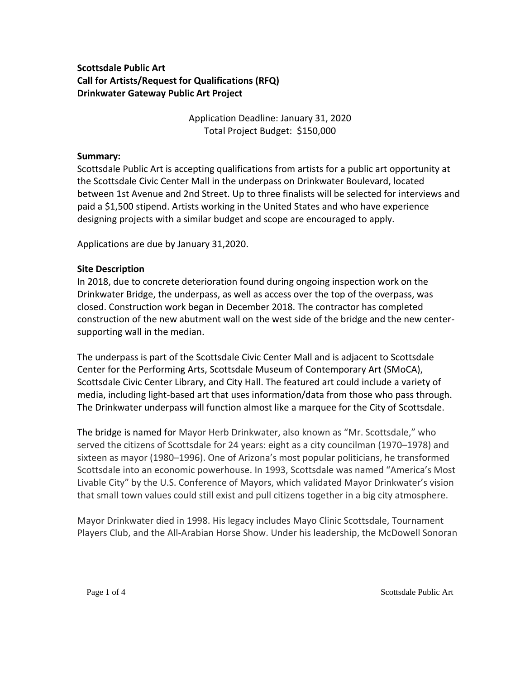# **Scottsdale Public Art Call for Artists/Request for Qualifications (RFQ) Drinkwater Gateway Public Art Project**

Application Deadline: January 31, 2020 Total Project Budget: \$150,000

## **Summary:**

Scottsdale Public Art is accepting qualifications from artists for a public art opportunity at the Scottsdale Civic Center Mall in the underpass on Drinkwater Boulevard, located between 1st Avenue and 2nd Street. Up to three finalists will be selected for interviews and paid a \$1,500 stipend. Artists working in the United States and who have experience designing projects with a similar budget and scope are encouraged to apply.

Applications are due by January 31,2020.

## **Site Description**

In 2018, due to concrete deterioration found during ongoing inspection work on the Drinkwater Bridge, the underpass, as well as access over the top of the overpass, was closed. Construction work began in December 2018. The contractor has completed construction of the new abutment wall on the west side of the bridge and the new centersupporting wall in the median.

The underpass is part of the Scottsdale Civic Center Mall and is adjacent to Scottsdale Center for the Performing Arts, Scottsdale Museum of Contemporary Art (SMoCA), Scottsdale Civic Center Library, and City Hall. The featured art could include a variety of media, including light-based art that uses information/data from those who pass through. The Drinkwater underpass will function almost like a marquee for the City of Scottsdale.

The bridge is named for Mayor Herb Drinkwater, also known as "Mr. Scottsdale," who served the citizens of Scottsdale for 24 years: eight as a city councilman (1970–1978) and sixteen as mayor (1980–1996). One of Arizona's most popular politicians, he transformed Scottsdale into an economic powerhouse. In 1993, Scottsdale was named "America's Most Livable City" by the U.S. Conference of Mayors, which validated Mayor Drinkwater's vision that small town values could still exist and pull citizens together in a big city atmosphere.

Mayor Drinkwater died in 1998. His legacy includes Mayo Clinic Scottsdale, Tournament Players Club, and the All-Arabian Horse Show. Under his leadership, the McDowell Sonoran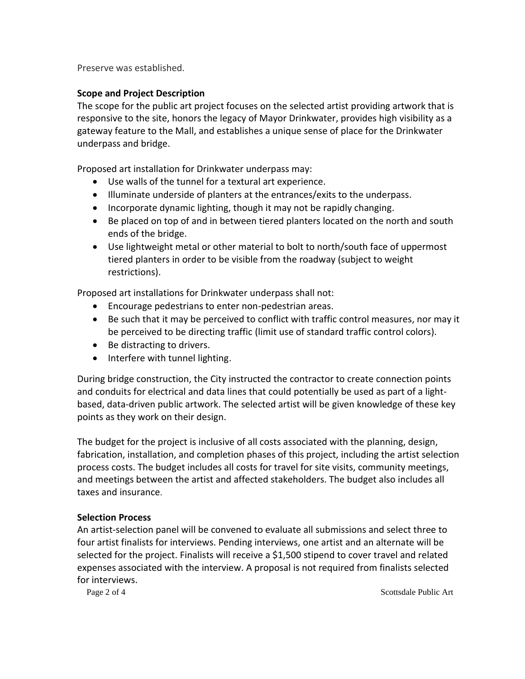Preserve was established.

## **Scope and Project Description**

The scope for the public art project focuses on the selected artist providing artwork that is responsive to the site, honors the legacy of Mayor Drinkwater, provides high visibility as a gateway feature to the Mall, and establishes a unique sense of place for the Drinkwater underpass and bridge.

Proposed art installation for Drinkwater underpass may:

- Use walls of the tunnel for a textural art experience.
- Illuminate underside of planters at the entrances/exits to the underpass.
- Incorporate dynamic lighting, though it may not be rapidly changing.
- Be placed on top of and in between tiered planters located on the north and south ends of the bridge.
- Use lightweight metal or other material to bolt to north/south face of uppermost tiered planters in order to be visible from the roadway (subject to weight restrictions).

Proposed art installations for Drinkwater underpass shall not:

- Encourage pedestrians to enter non-pedestrian areas.
- Be such that it may be perceived to conflict with traffic control measures, nor may it be perceived to be directing traffic (limit use of standard traffic control colors).
- Be distracting to drivers.
- Interfere with tunnel lighting.

During bridge construction, the City instructed the contractor to create connection points and conduits for electrical and data lines that could potentially be used as part of a lightbased, data-driven public artwork. The selected artist will be given knowledge of these key points as they work on their design.

The budget for the project is inclusive of all costs associated with the planning, design, fabrication, installation, and completion phases of this project, including the artist selection process costs. The budget includes all costs for travel for site visits, community meetings, and meetings between the artist and affected stakeholders. The budget also includes all taxes and insurance.

#### **Selection Process**

An artist-selection panel will be convened to evaluate all submissions and select three to four artist finalists for interviews. Pending interviews, one artist and an alternate will be selected for the project. Finalists will receive a \$1,500 stipend to cover travel and related expenses associated with the interview. A proposal is not required from finalists selected for interviews.

Page 2 of 4 Scottsdale Public Art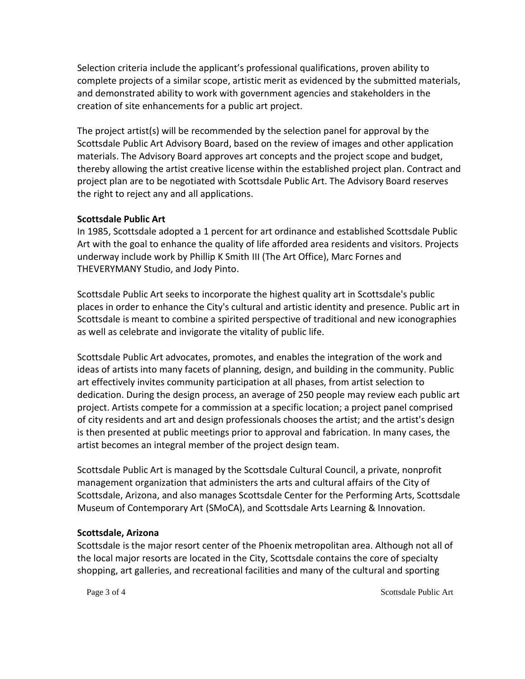Selection criteria include the applicant's professional qualifications, proven ability to complete projects of a similar scope, artistic merit as evidenced by the submitted materials, and demonstrated ability to work with government agencies and stakeholders in the creation of site enhancements for a public art project.

The project artist(s) will be recommended by the selection panel for approval by the Scottsdale Public Art Advisory Board, based on the review of images and other application materials. The Advisory Board approves art concepts and the project scope and budget, thereby allowing the artist creative license within the established project plan. Contract and project plan are to be negotiated with Scottsdale Public Art. The Advisory Board reserves the right to reject any and all applications.

#### **Scottsdale Public Art**

In 1985, Scottsdale adopted a 1 percent for art ordinance and established Scottsdale Public Art with the goal to enhance the quality of life afforded area residents and visitors. Projects underway include work by Phillip K Smith III (The Art Office), Marc Fornes and THEVERYMANY Studio, and Jody Pinto.

Scottsdale Public Art seeks to incorporate the highest quality art in Scottsdale's public places in order to enhance the City's cultural and artistic identity and presence. Public art in Scottsdale is meant to combine a spirited perspective of traditional and new iconographies as well as celebrate and invigorate the vitality of public life.

Scottsdale Public Art advocates, promotes, and enables the integration of the work and ideas of artists into many facets of planning, design, and building in the community. Public art effectively invites community participation at all phases, from artist selection to dedication. During the design process, an average of 250 people may review each public art project. Artists compete for a commission at a specific location; a project panel comprised of city residents and art and design professionals chooses the artist; and the artist's design is then presented at public meetings prior to approval and fabrication. In many cases, the artist becomes an integral member of the project design team.

Scottsdale Public Art is managed by the Scottsdale Cultural Council, a private, nonprofit management organization that administers the arts and cultural affairs of the City of Scottsdale, Arizona, and also manages Scottsdale Center for the Performing Arts, Scottsdale Museum of Contemporary Art (SMoCA), and Scottsdale Arts Learning & Innovation.

#### **Scottsdale, Arizona**

Scottsdale is the major resort center of the Phoenix metropolitan area. Although not all of the local major resorts are located in the City, Scottsdale contains the core of specialty shopping, art galleries, and recreational facilities and many of the cultural and sporting

Page 3 of 4 Scottsdale Public Art